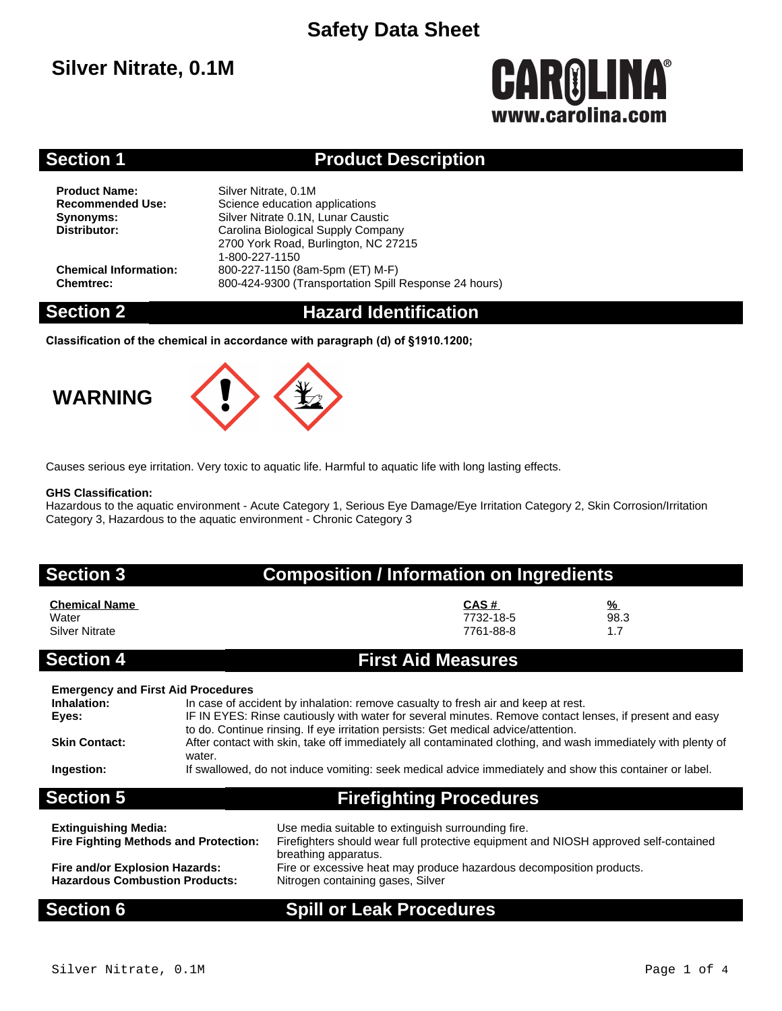## **Silver Nitrate, 0.1M**

# **CAROLINA®** www.carolina.com

### **Section 1 Product Description**

**Product Name:** Silver Nitrate, 0.1M<br> **Recommended Use:** Science education

**Science education applications Synonyms:** Silver Nitrate 0.1N, Lunar Caustic<br>
Distributor: Carolina Biological Supply Compa **Distributor:** Carolina Biological Supply Company 2700 York Road, Burlington, NC 27215 1-800-227-1150 **Chemical Information:** 800-227-1150 (8am-5pm (ET) M-F) **Chemtrec:** 800-424-9300 (Transportation Spill Response 24 hours)

### **Section 2 Hazard Identification**

**Classification of the chemical in accordance with paragraph (d) of §1910.1200;**

## **WARNING**



Causes serious eye irritation. Very toxic to aquatic life. Harmful to aquatic life with long lasting effects.

### **GHS Classification:**

Hazardous to the aquatic environment - Acute Category 1, Serious Eye Damage/Eye Irritation Category 2, Skin Corrosion/Irritation Category 3, Hazardous to the aquatic environment - Chronic Category 3

| <b>Section 3</b>                                                                                        |        | <b>Composition / Information on Ingredients</b>                                                                                                                                                                                                                                                                                                                                                                                                                                                               |                                |                              |  |  |
|---------------------------------------------------------------------------------------------------------|--------|---------------------------------------------------------------------------------------------------------------------------------------------------------------------------------------------------------------------------------------------------------------------------------------------------------------------------------------------------------------------------------------------------------------------------------------------------------------------------------------------------------------|--------------------------------|------------------------------|--|--|
| <b>Chemical Name</b><br>Water<br><b>Silver Nitrate</b>                                                  |        |                                                                                                                                                                                                                                                                                                                                                                                                                                                                                                               | CAS#<br>7732-18-5<br>7761-88-8 | $\frac{9}{6}$<br>98.3<br>1.7 |  |  |
| <b>Section 4</b>                                                                                        |        | <b>First Aid Measures</b>                                                                                                                                                                                                                                                                                                                                                                                                                                                                                     |                                |                              |  |  |
| <b>Emergency and First Aid Procedures</b><br>Inhalation:<br>Eyes:<br><b>Skin Contact:</b><br>Ingestion: | water. | In case of accident by inhalation: remove casualty to fresh air and keep at rest.<br>IF IN EYES: Rinse cautiously with water for several minutes. Remove contact lenses, if present and easy<br>to do. Continue rinsing. If eye irritation persists: Get medical advice/attention.<br>After contact with skin, take off immediately all contaminated clothing, and wash immediately with plenty of<br>If swallowed, do not induce vomiting: seek medical advice immediately and show this container or label. |                                |                              |  |  |
| <b>Section 5</b>                                                                                        |        | <b>Firefighting Procedures</b>                                                                                                                                                                                                                                                                                                                                                                                                                                                                                |                                |                              |  |  |
| <b>Extinguishing Media:</b><br><b>Fire Fighting Methods and Protection:</b>                             |        | Use media suitable to extinguish surrounding fire.<br>Firefighters should wear full protective equipment and NIOSH approved self-contained<br>breathing apparatus.                                                                                                                                                                                                                                                                                                                                            |                                |                              |  |  |
| Fire and/or Explosion Hazards:<br><b>Hazardous Combustion Products:</b>                                 |        | Fire or excessive heat may produce hazardous decomposition products.<br>Nitrogen containing gases, Silver                                                                                                                                                                                                                                                                                                                                                                                                     |                                |                              |  |  |

### **Section 6 Spill or Leak Procedures**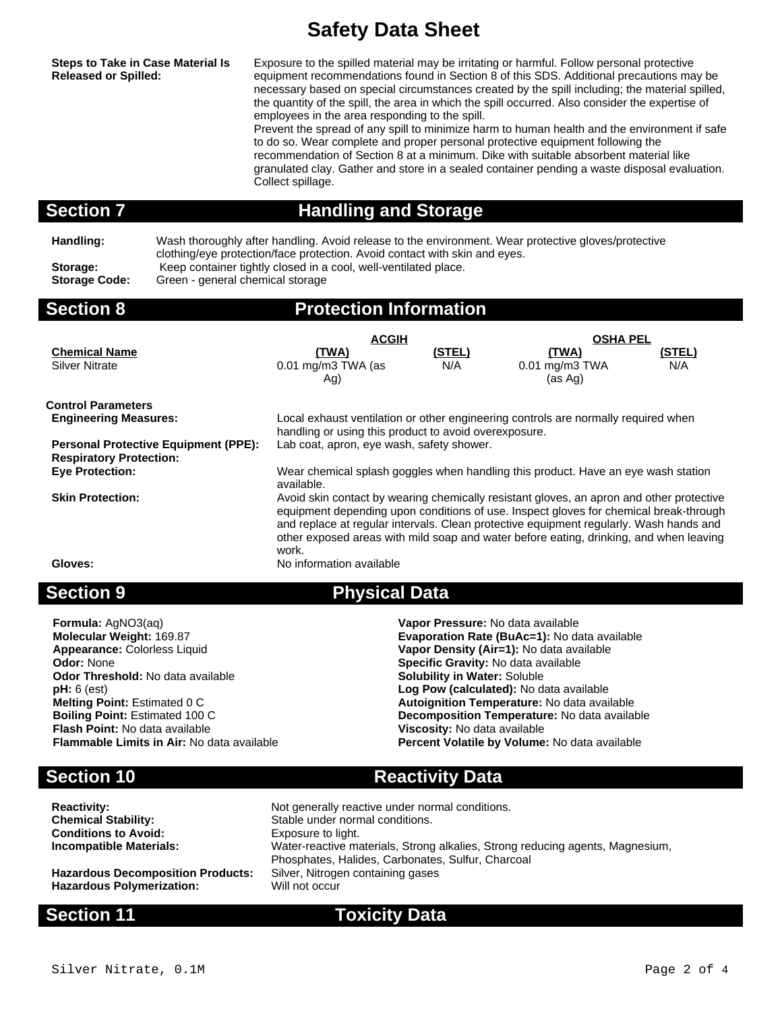**Steps to Take in Case Material Is Released or Spilled:**

Exposure to the spilled material may be irritating or harmful. Follow personal protective equipment recommendations found in Section 8 of this SDS. Additional precautions may be necessary based on special circumstances created by the spill including; the material spilled, the quantity of the spill, the area in which the spill occurred. Also consider the expertise of employees in the area responding to the spill.

Prevent the spread of any spill to minimize harm to human health and the environment if safe to do so. Wear complete and proper personal protective equipment following the recommendation of Section 8 at a minimum. Dike with suitable absorbent material like granulated clay. Gather and store in a sealed container pending a waste disposal evaluation. Collect spillage.

## **Section 7 Handling and Storage**

**Handling:** Wash thoroughly after handling. Avoid release to the environment. Wear protective gloves/protective clothing/eye protection/face protection. Avoid contact with skin and eyes. Storage: Keep container tightly closed in a cool, well-ventilated place. **Storage Code:** Green - general chemical storage

## **Section 8 Protection Information**

|                                                                               | <b>ACGIH</b>                                                                                                                                                                                                                                                                                                                                                                   |               | <b>OSHA PEL</b>                                                                    |        |  |
|-------------------------------------------------------------------------------|--------------------------------------------------------------------------------------------------------------------------------------------------------------------------------------------------------------------------------------------------------------------------------------------------------------------------------------------------------------------------------|---------------|------------------------------------------------------------------------------------|--------|--|
| <b>Chemical Name</b>                                                          | <u>(TWA)</u>                                                                                                                                                                                                                                                                                                                                                                   | <u>(STEL)</u> | <u>(TWA)</u>                                                                       | (STEL) |  |
| <b>Silver Nitrate</b>                                                         | $0.01$ mg/m3 TWA (as                                                                                                                                                                                                                                                                                                                                                           | N/A           | 0.01 mg/m3 TWA                                                                     | N/A    |  |
|                                                                               | Ag)                                                                                                                                                                                                                                                                                                                                                                            |               | (as Ag)                                                                            |        |  |
| <b>Control Parameters</b>                                                     |                                                                                                                                                                                                                                                                                                                                                                                |               |                                                                                    |        |  |
| <b>Engineering Measures:</b>                                                  |                                                                                                                                                                                                                                                                                                                                                                                |               | Local exhaust ventilation or other engineering controls are normally required when |        |  |
|                                                                               | handling or using this product to avoid overexposure.                                                                                                                                                                                                                                                                                                                          |               |                                                                                    |        |  |
| <b>Personal Protective Equipment (PPE):</b><br><b>Respiratory Protection:</b> | Lab coat, apron, eye wash, safety shower.                                                                                                                                                                                                                                                                                                                                      |               |                                                                                    |        |  |
| <b>Eye Protection:</b>                                                        | Wear chemical splash goggles when handling this product. Have an eye wash station<br>available.                                                                                                                                                                                                                                                                                |               |                                                                                    |        |  |
| <b>Skin Protection:</b>                                                       | Avoid skin contact by wearing chemically resistant gloves, an apron and other protective<br>equipment depending upon conditions of use. Inspect gloves for chemical break-through<br>and replace at regular intervals. Clean protective equipment regularly. Wash hands and<br>other exposed areas with mild soap and water before eating, drinking, and when leaving<br>work. |               |                                                                                    |        |  |
| Gloves:                                                                       | No information available                                                                                                                                                                                                                                                                                                                                                       |               |                                                                                    |        |  |
| <b>Section 9</b>                                                              | <b>Physical Data</b>                                                                                                                                                                                                                                                                                                                                                           |               |                                                                                    |        |  |

**Formula:** AgNO3(aq) **Vapor Pressure:** No data available **Appearance:** Colorless Liquid **Vapor Density (Air=1):** No data available **Odor:** None **Constanting Codor:** None **Specific Gravity:** No data available **Odor Threshold:** No data available **Codor Threshold:** No data available **Odor Threshold:** No data available **pH:** 6 (est) **Flash Point:** No data available **Viscosity:** No data available

**Molecular Weight:** 169.87 **Evaporation Rate (BuAc=1):** No data available Log Pow (calculated): No data available **Melting Point:** Estimated 0 C **Autoignition Temperature:** No data available **Boiling Point:** Estimated 100 C **Decomposition Temperature:** No data available **Percent Volatile by Volume:** No data available

## **Section 10 Reactivity Data**

| <b>Reactivity:</b>                       | Not generally reactive under normal conditions.                                                                                    |
|------------------------------------------|------------------------------------------------------------------------------------------------------------------------------------|
| Chemical Stability:                      | Stable under normal conditions.                                                                                                    |
| <b>Conditions to Avoid:</b>              | Exposure to light.                                                                                                                 |
| Incompatible Materials:                  | Water-reactive materials, Strong alkalies, Strong reducing agents, Magnesium,<br>Phosphates, Halides, Carbonates, Sulfur, Charcoal |
| <b>Hazardous Decomposition Products:</b> | Silver, Nitrogen containing gases                                                                                                  |
| Hazardous Polymerization:                | Will not occur                                                                                                                     |

### **Section 11 Toxicity Data**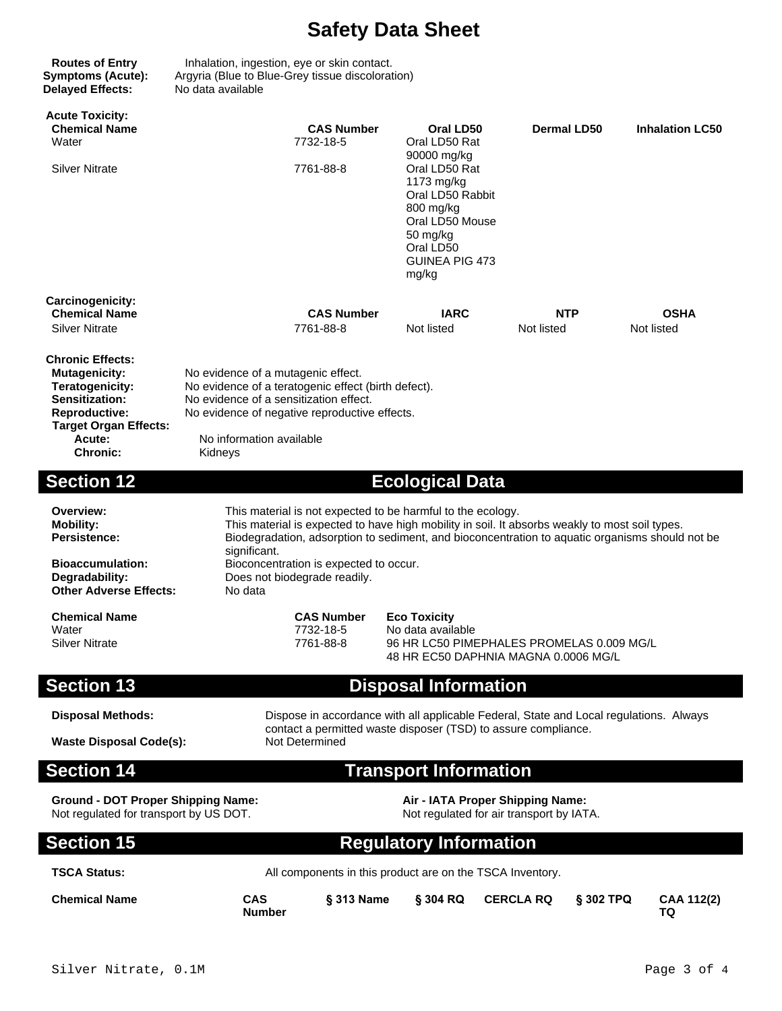**Delayed Effects:** No data available

 $\overline{\phantom{a}}$ 

 $\overline{\phantom{a}}$ 

**Routes of Entry** Inhalation, ingestion, eye or skin contact. **Symptoms (Acute):** Argyria (Blue to Blue-Grey tissue discoloration)

| <b>Acute Toxicity:</b><br><b>Chemical Name</b><br>Water<br><b>Silver Nitrate</b>                                                                                          |                                                                                                                                                                                                                                                                                                                                                                       | <b>CAS Number</b><br>7732-18-5<br>7761-88-8                                                                                                                                  | Oral LD50<br>Oral LD50 Rat<br>90000 mg/kg<br>Oral LD50 Rat<br>1173 mg/kg<br>Oral LD50 Rabbit<br>800 mg/kg<br>Oral LD50 Mouse<br>50 mg/kg<br>Oral LD50<br><b>GUINEA PIG 473</b><br>mg/kg | Dermal LD50       |             | <b>Inhalation LC50</b>    |  |
|---------------------------------------------------------------------------------------------------------------------------------------------------------------------------|-----------------------------------------------------------------------------------------------------------------------------------------------------------------------------------------------------------------------------------------------------------------------------------------------------------------------------------------------------------------------|------------------------------------------------------------------------------------------------------------------------------------------------------------------------------|-----------------------------------------------------------------------------------------------------------------------------------------------------------------------------------------|-------------------|-------------|---------------------------|--|
| Carcinogenicity:<br><b>Chemical Name</b><br><b>Silver Nitrate</b>                                                                                                         |                                                                                                                                                                                                                                                                                                                                                                       | <b>CAS Number</b><br>7761-88-8                                                                                                                                               | <b>IARC</b><br>Not listed                                                                                                                                                               | NTP<br>Not listed |             | <b>OSHA</b><br>Not listed |  |
| <b>Chronic Effects:</b><br><b>Mutagenicity:</b><br>Teratogenicity:<br>Sensitization:<br><b>Reproductive:</b><br><b>Target Organ Effects:</b><br>Acute:<br><b>Chronic:</b> | No evidence of a mutagenic effect.<br>No evidence of a teratogenic effect (birth defect).<br>No evidence of a sensitization effect.<br>No evidence of negative reproductive effects.<br>No information available<br>Kidneys                                                                                                                                           |                                                                                                                                                                              |                                                                                                                                                                                         |                   |             |                           |  |
| <b>Section 12</b>                                                                                                                                                         |                                                                                                                                                                                                                                                                                                                                                                       |                                                                                                                                                                              | <b>Ecological Data</b>                                                                                                                                                                  |                   |             |                           |  |
| Overview:<br><b>Mobility:</b><br><b>Persistence:</b><br><b>Bioaccumulation:</b><br>Degradability:<br><b>Other Adverse Effects:</b>                                        | This material is not expected to be harmful to the ecology.<br>This material is expected to have high mobility in soil. It absorbs weakly to most soil types.<br>Biodegradation, adsorption to sediment, and bioconcentration to aquatic organisms should not be<br>significant.<br>Bioconcentration is expected to occur.<br>Does not biodegrade readily.<br>No data |                                                                                                                                                                              |                                                                                                                                                                                         |                   |             |                           |  |
| <b>Chemical Name</b><br>Water<br><b>Silver Nitrate</b>                                                                                                                    |                                                                                                                                                                                                                                                                                                                                                                       | <b>CAS Number</b><br><b>Eco Toxicity</b><br>7732-18-5<br>No data available<br>7761-88-8<br>96 HR LC50 PIMEPHALES PROMELAS 0.009 MG/L<br>48 HR EC50 DAPHNIA MAGNA 0.0006 MG/L |                                                                                                                                                                                         |                   |             |                           |  |
| <b>Section 13</b>                                                                                                                                                         | <b>Disposal Information</b>                                                                                                                                                                                                                                                                                                                                           |                                                                                                                                                                              |                                                                                                                                                                                         |                   |             |                           |  |
| <b>Disposal Methods:</b><br><b>Waste Disposal Code(s):</b>                                                                                                                | Dispose in accordance with all applicable Federal, State and Local regulations. Always<br>contact a permitted waste disposer (TSD) to assure compliance.<br>Not Determined                                                                                                                                                                                            |                                                                                                                                                                              |                                                                                                                                                                                         |                   |             |                           |  |
| <b>Section 14</b>                                                                                                                                                         |                                                                                                                                                                                                                                                                                                                                                                       |                                                                                                                                                                              | <b>Transport Information</b>                                                                                                                                                            |                   |             |                           |  |
| <b>Ground - DOT Proper Shipping Name:</b><br>Air - IATA Proper Shipping Name:<br>Not regulated for transport by US DOT.<br>Not regulated for air transport by IATA.       |                                                                                                                                                                                                                                                                                                                                                                       |                                                                                                                                                                              |                                                                                                                                                                                         |                   |             |                           |  |
| <b>Section 15</b>                                                                                                                                                         | <b>Regulatory Information</b>                                                                                                                                                                                                                                                                                                                                         |                                                                                                                                                                              |                                                                                                                                                                                         |                   |             |                           |  |
| <b>TSCA Status:</b>                                                                                                                                                       |                                                                                                                                                                                                                                                                                                                                                                       |                                                                                                                                                                              | All components in this product are on the TSCA Inventory.                                                                                                                               |                   |             |                           |  |
| <b>Chemical Name</b>                                                                                                                                                      | CAS<br><b>Number</b>                                                                                                                                                                                                                                                                                                                                                  | § 313 Name                                                                                                                                                                   | § 304 RQ                                                                                                                                                                                | <b>CERCLA RQ</b>  | $§$ 302 TPQ | CAA 112(2)<br>TQ.         |  |